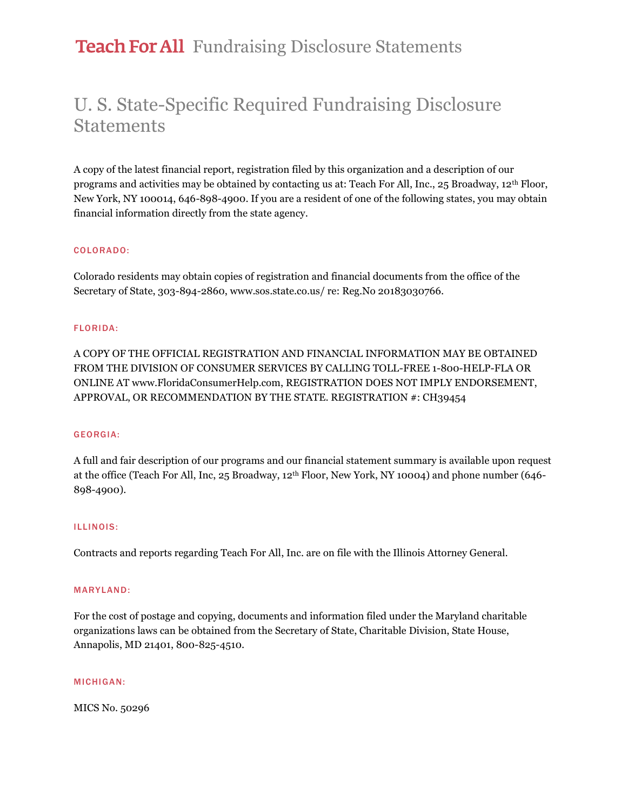## Teach For All Fundraising Disclosure Statements

## U. S. State-Specific Required Fundraising Disclosure **Statements**

A copy of the latest financial report, registration filed by this organization and a description of our programs and activities may be obtained by contacting us at: Teach For All, Inc., 25 Broadway, 12th Floor, New York, NY 100014, 646-898-4900. If you are a resident of one of the following states, you may obtain financial information directly from the state agency.

#### COLORADO:

Colorado residents may obtain copies of registration and financial documents from the office of the Secretary of State, 303-894-2860, www.sos.state.co.us/ re: Reg.No 20183030766.

#### FLORIDA:

A COPY OF THE OFFICIAL REGISTRATION AND FINANCIAL INFORMATION MAY BE OBTAINED FROM THE DIVISION OF CONSUMER SERVICES BY CALLING TOLL-FREE 1-800-HELP-FLA OR ONLINE AT www.FloridaConsumerHelp.com, REGISTRATION DOES NOT IMPLY ENDORSEMENT, APPROVAL, OR RECOMMENDATION BY THE STATE. REGISTRATION #: CH39454

#### GEORGIA:

A full and fair description of our programs and our financial statement summary is available upon request at the office (Teach For All, Inc, 25 Broadway, 12th Floor, New York, NY 10004) and phone number (646- 898-4900).

#### ILLINOIS:

Contracts and reports regarding Teach For All, Inc. are on file with the Illinois Attorney General.

#### MARYLAND:

For the cost of postage and copying, documents and information filed under the Maryland charitable organizations laws can be obtained from the Secretary of State, Charitable Division, State House, Annapolis, MD 21401, 800-825-4510.

#### MICHIGAN:

MICS No. 50296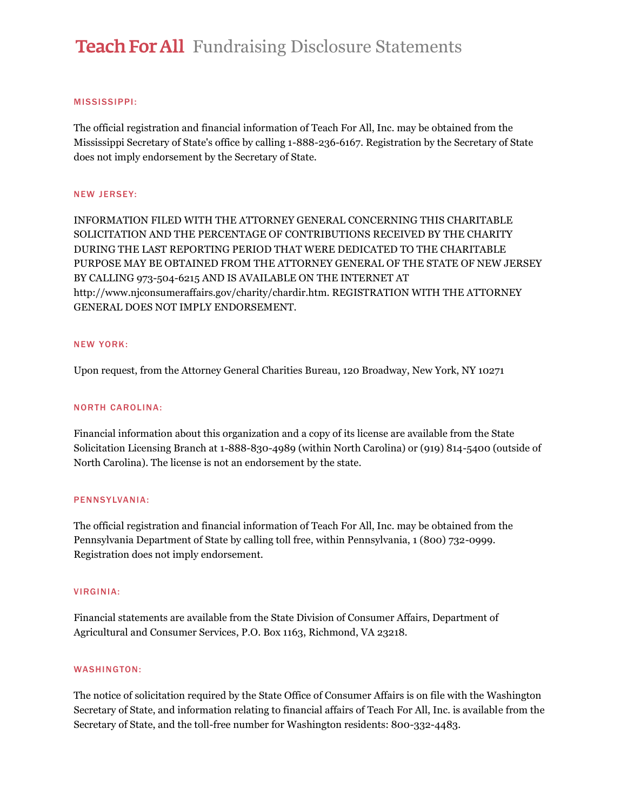# **Teach For All** Fundraising Disclosure Statements

#### MISSISSIPPI:

The official registration and financial information of Teach For All, Inc. may be obtained from the Mississippi Secretary of State's office by calling 1-888-236-6167. Registration by the Secretary of State does not imply endorsement by the Secretary of State.

#### NEW JERSEY:

INFORMATION FILED WITH THE ATTORNEY GENERAL CONCERNING THIS CHARITABLE SOLICITATION AND THE PERCENTAGE OF CONTRIBUTIONS RECEIVED BY THE CHARITY DURING THE LAST REPORTING PERIOD THAT WERE DEDICATED TO THE CHARITABLE PURPOSE MAY BE OBTAINED FROM THE ATTORNEY GENERAL OF THE STATE OF NEW JERSEY BY CALLING 973-504-6215 AND IS AVAILABLE ON THE INTERNET AT http://www.njconsumeraffairs.gov/charity/chardir.htm. REGISTRATION WITH THE ATTORNEY GENERAL DOES NOT IMPLY ENDORSEMENT.

#### NEW YORK:

Upon request, from the Attorney General Charities Bureau, 120 Broadway, New York, NY 10271

#### NORTH CAROLINA:

Financial information about this organization and a copy of its license are available from the State Solicitation Licensing Branch at 1-888-830-4989 (within North Carolina) or (919) 814-5400 (outside of North Carolina). The license is not an endorsement by the state.

#### PENNSYLVANIA:

The official registration and financial information of Teach For All, Inc. may be obtained from the Pennsylvania Department of State by calling toll free, within Pennsylvania, 1 (800) 732-0999. Registration does not imply endorsement.

#### VIRGINIA:

Financial statements are available from the State Division of Consumer Affairs, Department of Agricultural and Consumer Services, P.O. Box 1163, Richmond, VA 23218.

#### WASHINGTON:

The notice of solicitation required by the State Office of Consumer Affairs is on file with the Washington Secretary of State, and information relating to financial affairs of Teach For All, Inc. is available from the Secretary of State, and the toll-free number for Washington residents: 800-332-4483.